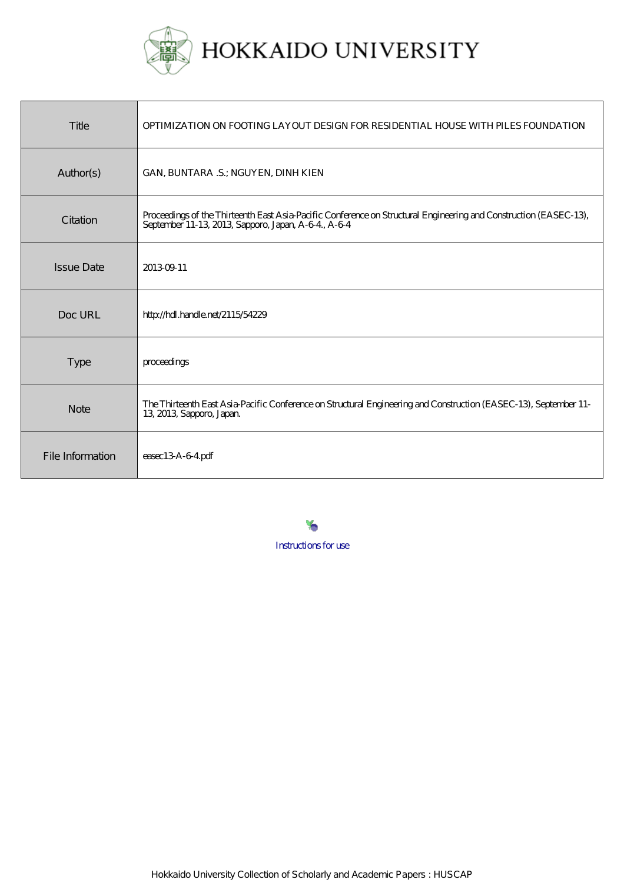

| Title             | OPTIMIZATION ON FOOTING LAYOUT DESIGN FOR RESIDENTIAL HOUSE WITH PILES FOUNDATION                                                                                        |
|-------------------|--------------------------------------------------------------------------------------------------------------------------------------------------------------------------|
| Author(s)         | GAN, BUNTARA .S.; NGUYEN, DINH KIEN                                                                                                                                      |
| Citation          | Proceedings of the Thirteenth East Asia-Pacific Conference on Structural Engineering and Construction (EASEC-13),<br>September 11-13, 2013, Sapporo, Japan, A-6-4, A-6-4 |
| <b>Issue Date</b> | 201309-11                                                                                                                                                                |
| Doc URL           | http://hdl.handle.net/2115/54229                                                                                                                                         |
| Type              | proceedings                                                                                                                                                              |
| <b>Note</b>       | The Thirteenth East Asia-Pacific Conference on Structural Engineering and Construction (EASEC-13), September 11-<br>13, 2013, Sapporo, Japan.                            |
| File Information  | $e$ asec $13A-64$ pdf                                                                                                                                                    |

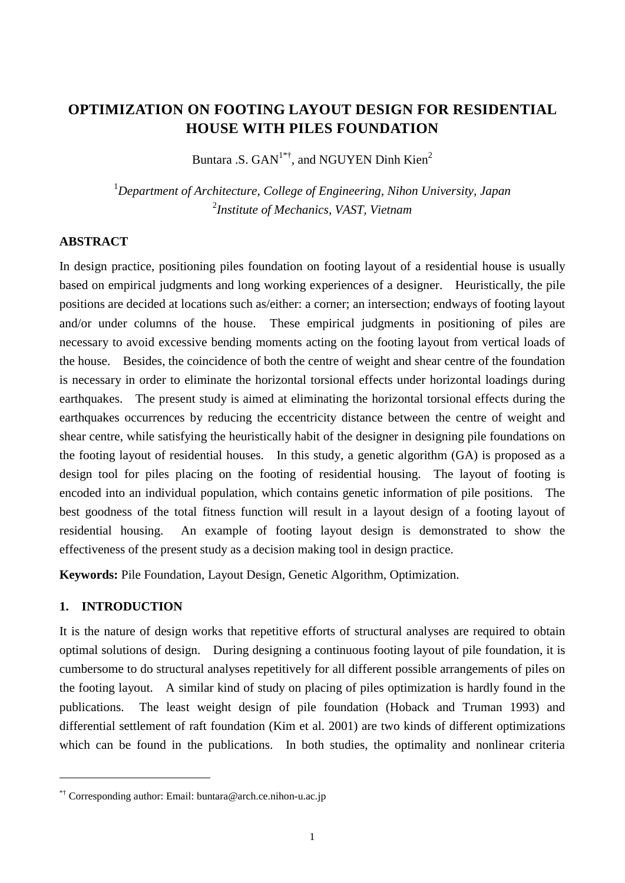# **OPTIMIZATION ON FOOTING LAYOUT DESIGN FOR RESIDENTIAL HOUSE WITH PILES FOUNDATION**

Buntara .S.  $GAN^{1*†}$ , and NGUYEN Dinh Kien<sup>2</sup>

1 *Department of Architecture, College of Engineering, Nihon University, Japan*  2 *Institute of Mechanics, VAST, Vietnam* 

### **ABSTRACT**

In design practice, positioning piles foundation on footing layout of a residential house is usually based on empirical judgments and long working experiences of a designer. Heuristically, the pile positions are decided at locations such as/either: a corner; an intersection; endways of footing layout and/or under columns of the house. These empirical judgments in positioning of piles are necessary to avoid excessive bending moments acting on the footing layout from vertical loads of the house. Besides, the coincidence of both the centre of weight and shear centre of the foundation is necessary in order to eliminate the horizontal torsional effects under horizontal loadings during earthquakes. The present study is aimed at eliminating the horizontal torsional effects during the earthquakes occurrences by reducing the eccentricity distance between the centre of weight and shear centre, while satisfying the heuristically habit of the designer in designing pile foundations on the footing layout of residential houses. In this study, a genetic algorithm (GA) is proposed as a design tool for piles placing on the footing of residential housing. The layout of footing is encoded into an individual population, which contains genetic information of pile positions. The best goodness of the total fitness function will result in a layout design of a footing layout of residential housing. An example of footing layout design is demonstrated to show the effectiveness of the present study as a decision making tool in design practice.

**Keywords:** Pile Foundation, Layout Design, Genetic Algorithm, Optimization.

### **1. INTRODUCTION**

<u>.</u>

It is the nature of design works that repetitive efforts of structural analyses are required to obtain optimal solutions of design. During designing a continuous footing layout of pile foundation, it is cumbersome to do structural analyses repetitively for all different possible arrangements of piles on the footing layout. A similar kind of study on placing of piles optimization is hardly found in the publications. The least weight design of pile foundation (Hoback and Truman 1993) and differential settlement of raft foundation (Kim et al. 2001) are two kinds of different optimizations which can be found in the publications. In both studies, the optimality and nonlinear criteria

<sup>\*†</sup> Corresponding author: Email: buntara@arch.ce.nihon-u.ac.jp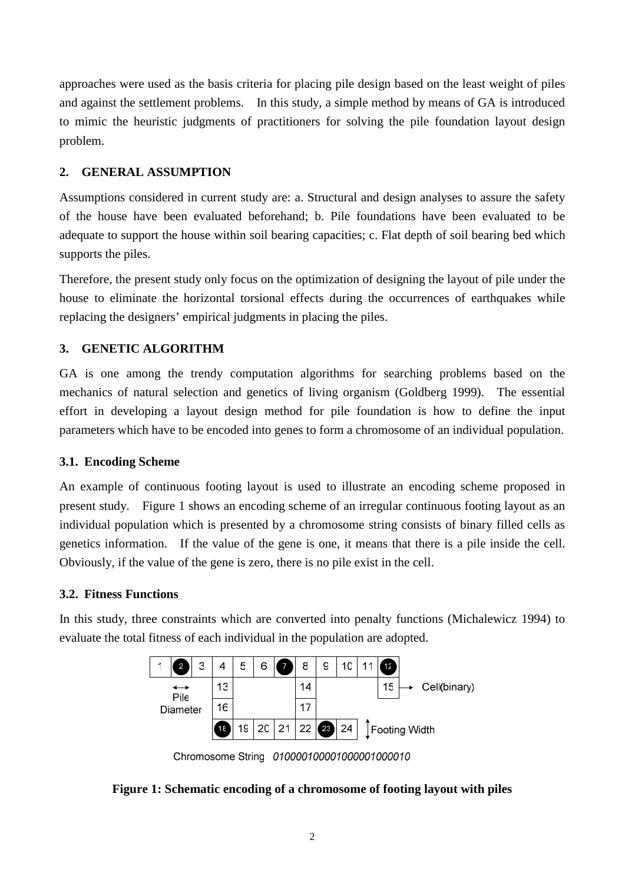approaches were used as the basis criteria for placing pile design based on the least weight of piles and against the settlement problems. In this study, a simple method by means of GA is introduced to mimic the heuristic judgments of practitioners for solving the pile foundation layout design problem.

## **2. GENERAL ASSUMPTION**

Assumptions considered in current study are: a. Structural and design analyses to assure the safety of the house have been evaluated beforehand; b. Pile foundations have been evaluated to be adequate to support the house within soil bearing capacities; c. Flat depth of soil bearing bed which supports the piles.

Therefore, the present study only focus on the optimization of designing the layout of pile under the house to eliminate the horizontal torsional effects during the occurrences of earthquakes while replacing the designers' empirical judgments in placing the piles.

## **3. GENETIC ALGORITHM**

GA is one among the trendy computation algorithms for searching problems based on the mechanics of natural selection and genetics of living organism (Goldberg 1999). The essential effort in developing a layout design method for pile foundation is how to define the input parameters which have to be encoded into genes to form a chromosome of an individual population.

## **3.1. Encoding Scheme**

An example of continuous footing layout is used to illustrate an encoding scheme proposed in present study. Figure 1 shows an encoding scheme of an irregular continuous footing layout as an individual population which is presented by a chromosome string consists of binary filled cells as genetics information. If the value of the gene is one, it means that there is a pile inside the cell. Obviously, if the value of the gene is zero, there is no pile exist in the cell.

## **3.2. Fitness Functions**

In this study, three constraints which are converted into penalty functions (Michalewicz 1994) to evaluate the total fitness of each individual in the population are adopted.



Chromosome String 010000100001000001000010

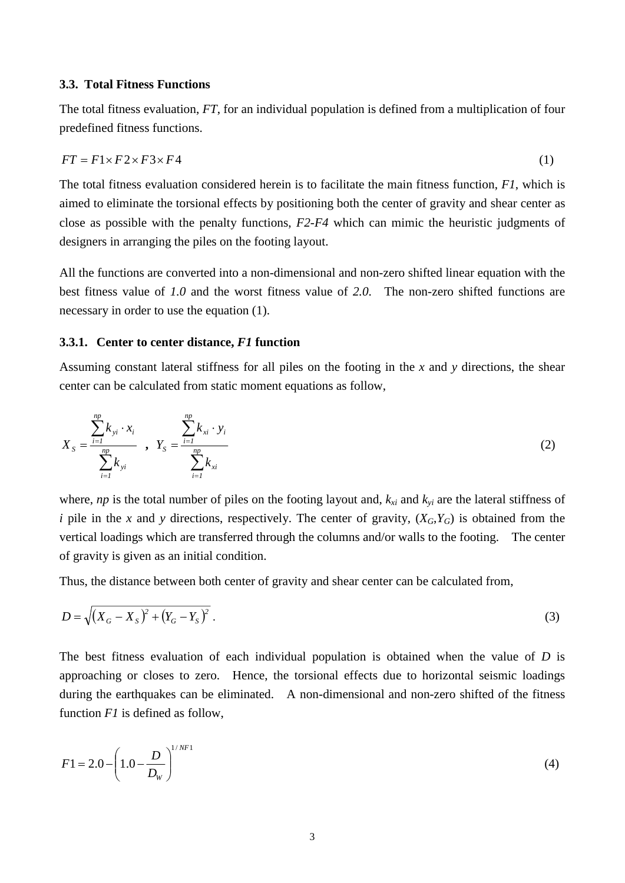#### **3.3. Total Fitness Functions**

The total fitness evaluation, *FT*, for an individual population is defined from a multiplication of four predefined fitness functions.

$$
FT = F1 \times F2 \times F3 \times F4 \tag{1}
$$

The total fitness evaluation considered herein is to facilitate the main fitness function, *F1*, which is aimed to eliminate the torsional effects by positioning both the center of gravity and shear center as close as possible with the penalty functions, *F2*-*F4* which can mimic the heuristic judgments of designers in arranging the piles on the footing layout.

All the functions are converted into a non-dimensional and non-zero shifted linear equation with the best fitness value of *1.0* and the worst fitness value of *2.0*. The non-zero shifted functions are necessary in order to use the equation (1).

#### **3.3.1. Center to center distance,** *F1* **function**

Assuming constant lateral stiffness for all piles on the footing in the *x* and *y* directions, the shear center can be calculated from static moment equations as follow,

$$
X_{S} = \frac{\sum_{i=1}^{np} k_{yi} \cdot x_{i}}{\sum_{i=1}^{np} k_{yi}} , Y_{S} = \frac{\sum_{i=1}^{np} k_{xi} \cdot y_{i}}{\sum_{i=1}^{np} k_{xi}}
$$
(2)

where, *np* is the total number of piles on the footing layout and,  $k_{xi}$  and  $k_{yi}$  are the lateral stiffness of *i* pile in the *x* and *y* directions, respectively. The center of gravity,  $(X_G, Y_G)$  is obtained from the vertical loadings which are transferred through the columns and/or walls to the footing. The center of gravity is given as an initial condition.

Thus, the distance between both center of gravity and shear center can be calculated from,

$$
D = \sqrt{(X_G - X_S)^2 + (Y_G - Y_S)^2} \tag{3}
$$

The best fitness evaluation of each individual population is obtained when the value of *D* is approaching or closes to zero. Hence, the torsional effects due to horizontal seismic loadings during the earthquakes can be eliminated. A non-dimensional and non-zero shifted of the fitness function *F1* is defined as follow,

$$
F1 = 2.0 - \left(1.0 - \frac{D}{D_w}\right)^{1/NT} \tag{4}
$$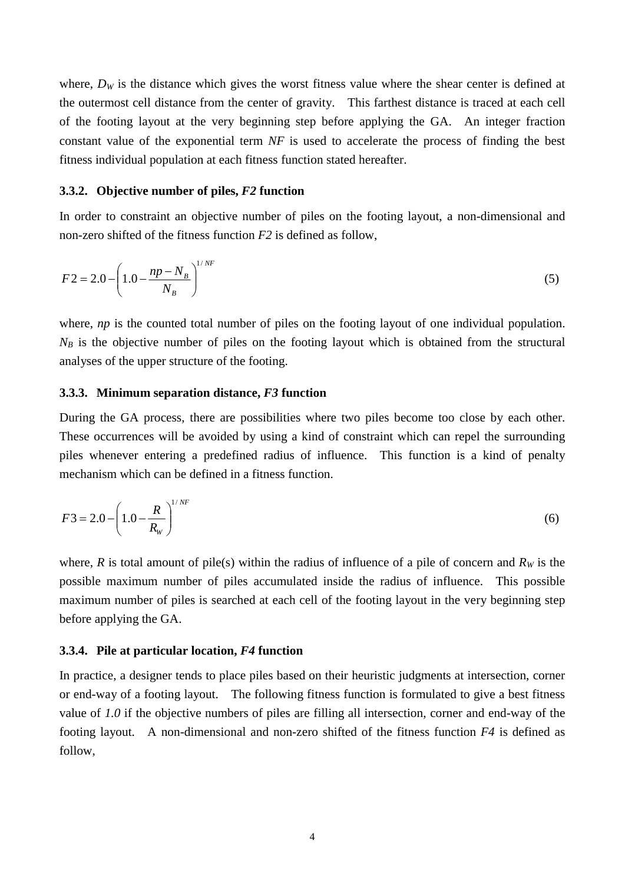where,  $D<sub>W</sub>$  is the distance which gives the worst fitness value where the shear center is defined at the outermost cell distance from the center of gravity. This farthest distance is traced at each cell of the footing layout at the very beginning step before applying the GA. An integer fraction constant value of the exponential term *NF* is used to accelerate the process of finding the best fitness individual population at each fitness function stated hereafter.

#### **3.3.2. Objective number of piles,** *F2* **function**

In order to constraint an objective number of piles on the footing layout, a non-dimensional and non-zero shifted of the fitness function *F2* is defined as follow,

$$
F2 = 2.0 - \left(1.0 - \frac{np - N_B}{N_B}\right)^{1/NF}
$$
 (5)

where, *np* is the counted total number of piles on the footing layout of one individual population.  $N_B$  is the objective number of piles on the footing layout which is obtained from the structural analyses of the upper structure of the footing.

#### **3.3.3. Minimum separation distance,** *F3* **function**

During the GA process, there are possibilities where two piles become too close by each other. These occurrences will be avoided by using a kind of constraint which can repel the surrounding piles whenever entering a predefined radius of influence. This function is a kind of penalty mechanism which can be defined in a fitness function.

$$
F3 = 2.0 - \left(1.0 - \frac{R}{R_W}\right)^{1/NF}
$$
 (6)

where, *R* is total amount of pile(s) within the radius of influence of a pile of concern and  $R_W$  is the possible maximum number of piles accumulated inside the radius of influence. This possible maximum number of piles is searched at each cell of the footing layout in the very beginning step before applying the GA.

#### **3.3.4. Pile at particular location,** *F4* **function**

In practice, a designer tends to place piles based on their heuristic judgments at intersection, corner or end-way of a footing layout. The following fitness function is formulated to give a best fitness value of *1.0* if the objective numbers of piles are filling all intersection, corner and end-way of the footing layout. A non-dimensional and non-zero shifted of the fitness function *F4* is defined as follow,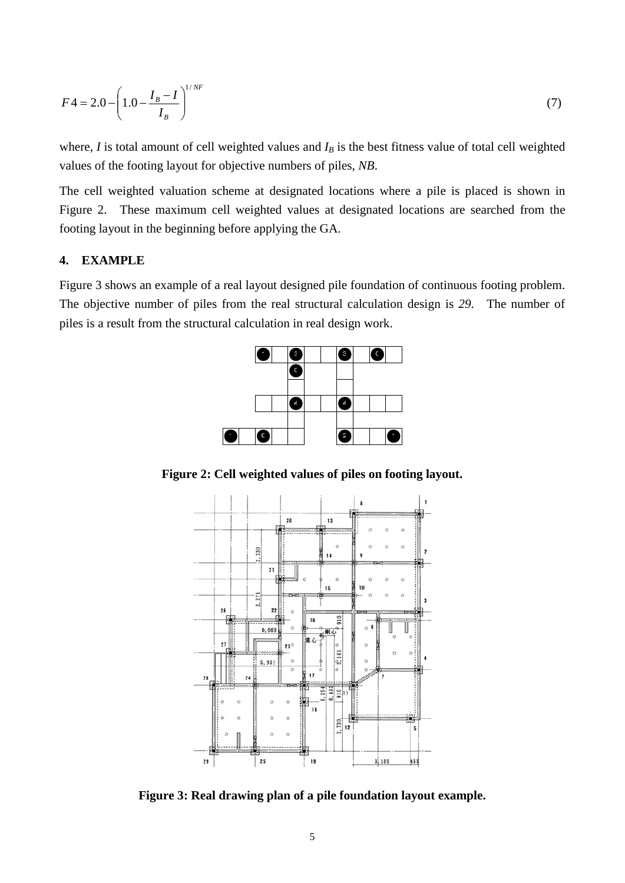$$
F4 = 2.0 - \left(1.0 - \frac{I_B - I}{I_B}\right)^{1/NF}
$$
 (7)

where,  $I$  is total amount of cell weighted values and  $I_B$  is the best fitness value of total cell weighted values of the footing layout for objective numbers of piles, *NB*.

The cell weighted valuation scheme at designated locations where a pile is placed is shown in Figure 2. These maximum cell weighted values at designated locations are searched from the footing layout in the beginning before applying the GA.

### **4. EXAMPLE**

Figure 3 shows an example of a real layout designed pile foundation of continuous footing problem. The objective number of piles from the real structural calculation design is *29*. The number of piles is a result from the structural calculation in real design work.



**Figure 2: Cell weighted values of piles on footing layout.** 



**Figure 3: Real drawing plan of a pile foundation layout example.**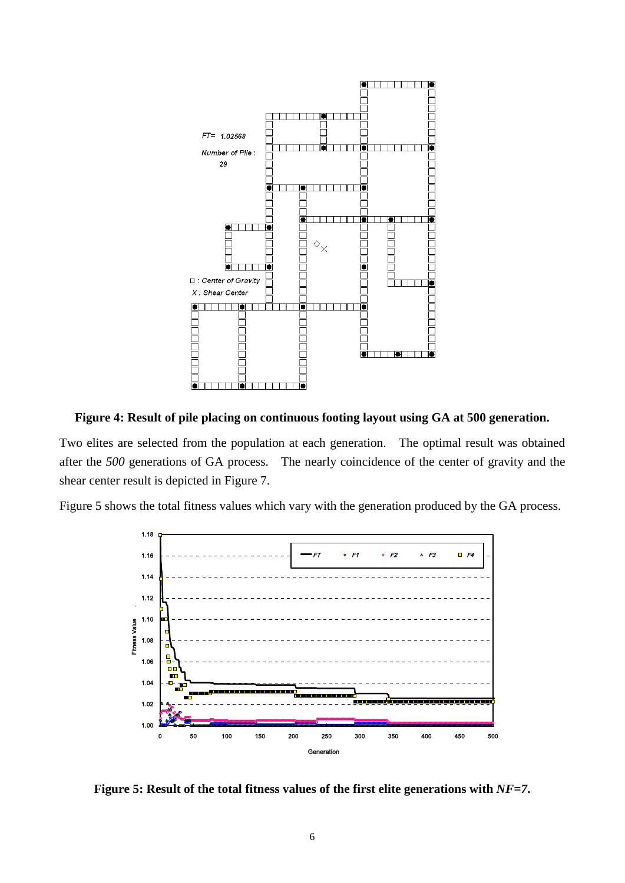

**Figure 4: Result of pile placing on continuous footing layout using GA at 500 generation.** 

Two elites are selected from the population at each generation. The optimal result was obtained after the *500* generations of GA process. The nearly coincidence of the center of gravity and the shear center result is depicted in Figure 7.

Figure 5 shows the total fitness values which vary with the generation produced by the GA process.



**Figure 5: Result of the total fitness values of the first elite generations with** *NF=7***.**